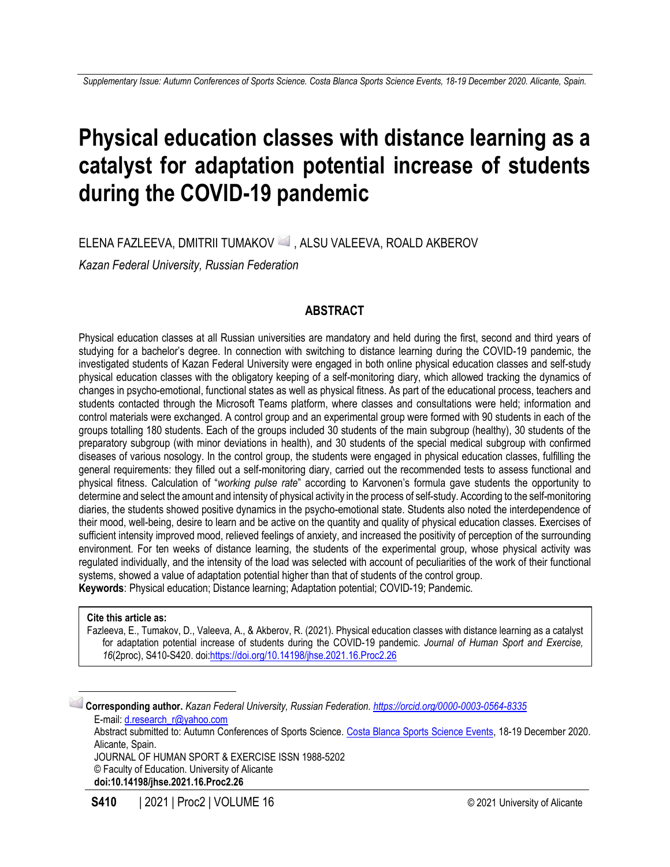# **Physical education classes with distance learning as a catalyst for adaptation potential increase of students during the COVID-19 pandemic**

ELENA FAZLEEVA, DMITRII TUMAKOV ⊠ , ALSU VALEEVA, ROALD AKBEROV

*Kazan Federal University, Russian Federation*

# **ABSTRACT**

Physical education classes at all Russian universities are mandatory and held during the first, second and third years of studying for a bachelor's degree. In connection with switching to distance learning during the COVID-19 pandemic, the investigated students of Kazan Federal University were engaged in both online physical education classes and self-study physical education classes with the obligatory keeping of a self-monitoring diary, which allowed tracking the dynamics of changes in psycho-emotional, functional states as well as physical fitness. As part of the educational process, teachers and students contacted through the Microsoft Teams platform, where classes and consultations were held; information and control materials were exchanged. A control group and an experimental group were formed with 90 students in each of the groups totalling 180 students. Each of the groups included 30 students of the main subgroup (healthy), 30 students of the preparatory subgroup (with minor deviations in health), and 30 students of the special medical subgroup with confirmed diseases of various nosology. In the control group, the students were engaged in physical education classes, fulfilling the general requirements: they filled out a self-monitoring diary, carried out the recommended tests to assess functional and physical fitness. Calculation of "*working pulse rate*" according to Karvonen's formula gave students the opportunity to determine and select the amount and intensity of physical activity in the process of self-study. According to the self-monitoring diaries, the students showed positive dynamics in the psycho-emotional state. Students also noted the interdependence of their mood, well-being, desire to learn and be active on the quantity and quality of physical education classes. Exercises of sufficient intensity improved mood, relieved feelings of anxiety, and increased the positivity of perception of the surrounding environment. For ten weeks of distance learning, the students of the experimental group, whose physical activity was regulated individually, and the intensity of the load was selected with account of peculiarities of the work of their functional systems, showed a value of adaptation potential higher than that of students of the control group. **Keywords**: Physical education; Distance learning; Adaptation potential; COVID-19; Pandemic.

#### **Cite this article as:**

Fazleeva, E., Tumakov, D., Valeeva, A., & Akberov, R. (2021). Physical education classes with distance learning as a catalyst for adaptation potential increase of students during the COVID-19 pandemic. *Journal of Human Sport and Exercise, 16*(2proc), S410-S420. doi[:https://doi.org/10.14198/jhse.2021.16.Proc2.26](https://doi.org/10.14198/jhse.2021.16.Proc2.26)

**Corresponding author.** *Kazan Federal University, Russian Federation. <https://orcid.org/0000-0003-0564-8335>* E-mail: [d.research\\_r@yahoo.com](mailto:d.research_r@yahoo.com) Abstract submitted to: Autumn Conferences of Sports Science. [Costa Blanca Sports Science Events,](http://costablancasportscience.aearedo.es/) 18-19 December 2020. Alicante, Spain. JOURNAL OF HUMAN SPORT & EXERCISE ISSN 1988-5202 © Faculty of Education. University of Alicante **doi:10.14198/jhse.2021.16.Proc2.26**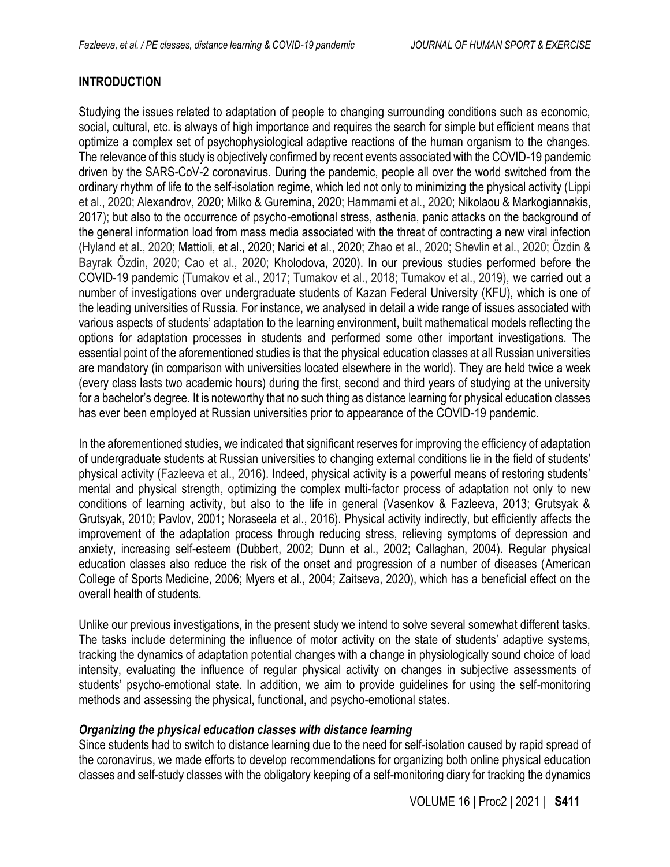# **INTRODUCTION**

Studying the issues related to adaptation of people to changing surrounding conditions such as economic, social, cultural, etc. is always of high importance and requires the search for simple but efficient means that optimize a complex set of psychophysiological adaptive reactions of the human organism to the changes. The relevance of this study is objectively confirmed by recent events associated with the COVID-19 pandemic driven by the SARS-CoV-2 coronavirus. During the pandemic, people all over the world switched from the ordinary rhythm of life to the self-isolation regime, which led not only to minimizing the physical activity (Lippi et al., 2020; Alexandrov, 2020; Milko & Guremina, 2020; Hammami et al., 2020; Nikolaou & Markogiannakis, 2017); but also to the occurrence of psycho-emotional stress, asthenia, panic attacks on the background of the general information load from mass media associated with the threat of contracting a new viral infection (Hyland et al., 2020; Mattioli, et al., 2020; Narici et al., 2020; Zhao et al., 2020; Shevlin et al., 2020; Özdin & Bayrak Özdin, 2020; Cao et al., 2020; Kholodova, 2020). In our previous studies performed before the COVID-19 pandemic (Tumakov et al., 2017; Tumakov et al., 2018; Tumakov et al., 2019), we carried out a number of investigations over undergraduate students of Kazan Federal University (KFU), which is one of the leading universities of Russia. For instance, we analysed in detail a wide range of issues associated with various aspects of students' adaptation to the learning environment, built mathematical models reflecting the options for adaptation processes in students and performed some other important investigations. The essential point of the aforementioned studies is that the physical education classes at all Russian universities are mandatory (in comparison with universities located elsewhere in the world). They are held twice a week (every class lasts two academic hours) during the first, second and third years of studying at the university for a bachelor's degree. It is noteworthy that no such thing as distance learning for physical education classes has ever been employed at Russian universities prior to appearance of the COVID-19 pandemic.

In the aforementioned studies, we indicated that significant reserves for improving the efficiency of adaptation of undergraduate students at Russian universities to changing external conditions lie in the field of students' physical activity (Fazleeva et al., 2016). Indeed, physical activity is a powerful means of restoring students' mental and physical strength, optimizing the complex multi-factor process of adaptation not only to new conditions of learning activity, but also to the life in general (Vasenkov & Fazleeva, 2013; Grutsyak & Grutsyak, 2010; Pavlov, 2001; Noraseela et al., 2016). Physical activity indirectly, but efficiently affects the improvement of the adaptation process through reducing stress, relieving symptoms of depression and anxiety, increasing self-esteem (Dubbert, 2002; Dunn et al., 2002; Callaghan, 2004). Regular physical education classes also reduce the risk of the onset and progression of a number of diseases (American College of Sports Medicine, 2006; Myers et al., 2004; Zaitseva, 2020), which has a beneficial effect on the overall health of students.

Unlike our previous investigations, in the present study we intend to solve several somewhat different tasks. The tasks include determining the influence of motor activity on the state of students' adaptive systems, tracking the dynamics of adaptation potential changes with a change in physiologically sound choice of load intensity, evaluating the influence of regular physical activity on changes in subjective assessments of students' psycho-emotional state. In addition, we aim to provide guidelines for using the self-monitoring methods and assessing the physical, functional, and psycho-emotional states.

#### *Organizing the physical education classes with distance learning*

Since students had to switch to distance learning due to the need for self-isolation caused by rapid spread of the coronavirus, we made efforts to develop recommendations for organizing both online physical education classes and self-study classes with the obligatory keeping of a self-monitoring diary for tracking the dynamics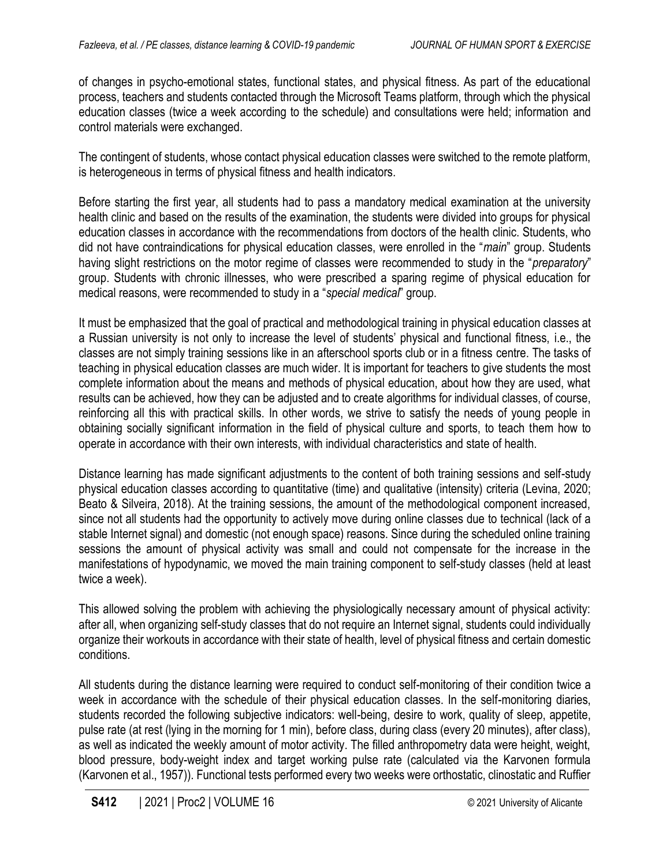of changes in psycho-emotional states, functional states, and physical fitness. As part of the educational process, teachers and students contacted through the Microsoft Teams platform, through which the physical education classes (twice a week according to the schedule) and consultations were held; information and control materials were exchanged.

The contingent of students, whose contact physical education classes were switched to the remote platform, is heterogeneous in terms of physical fitness and health indicators.

Before starting the first year, all students had to pass a mandatory medical examination at the university health clinic and based on the results of the examination, the students were divided into groups for physical education classes in accordance with the recommendations from doctors of the health clinic. Students, who did not have contraindications for physical education classes, were enrolled in the "*main*" group. Students having slight restrictions on the motor regime of classes were recommended to study in the "*preparatory*" group. Students with chronic illnesses, who were prescribed a sparing regime of physical education for medical reasons, were recommended to study in a "*special medical*" group.

It must be emphasized that the goal of practical and methodological training in physical education classes at a Russian university is not only to increase the level of students' physical and functional fitness, i.e., the classes are not simply training sessions like in an afterschool sports club or in a fitness centre. The tasks of teaching in physical education classes are much wider. It is important for teachers to give students the most complete information about the means and methods of physical education, about how they are used, what results can be achieved, how they can be adjusted and to create algorithms for individual classes, of course, reinforcing all this with practical skills. In other words, we strive to satisfy the needs of young people in obtaining socially significant information in the field of physical culture and sports, to teach them how to operate in accordance with their own interests, with individual characteristics and state of health.

Distance learning has made significant adjustments to the content of both training sessions and self-study physical education classes according to quantitative (time) and qualitative (intensity) criteria (Levina, 2020; Beato & Silveira, 2018). At the training sessions, the amount of the methodological component increased, since not all students had the opportunity to actively move during online classes due to technical (lack of a stable Internet signal) and domestic (not enough space) reasons. Since during the scheduled online training sessions the amount of physical activity was small and could not compensate for the increase in the manifestations of hypodynamic, we moved the main training component to self-study classes (held at least twice a week).

This allowed solving the problem with achieving the physiologically necessary amount of physical activity: after all, when organizing self-study classes that do not require an Internet signal, students could individually organize their workouts in accordance with their state of health, level of physical fitness and certain domestic conditions.

All students during the distance learning were required to conduct self-monitoring of their condition twice a week in accordance with the schedule of their physical education classes. In the self-monitoring diaries, students recorded the following subjective indicators: well-being, desire to work, quality of sleep, appetite, pulse rate (at rest (lying in the morning for 1 min), before class, during class (every 20 minutes), after class), as well as indicated the weekly amount of motor activity. The filled anthropometry data were height, weight, blood pressure, body-weight index and target working pulse rate (calculated via the Karvonen formula (Karvonen et al., 1957)). Functional tests performed every two weeks were orthostatic, clinostatic and Ruffier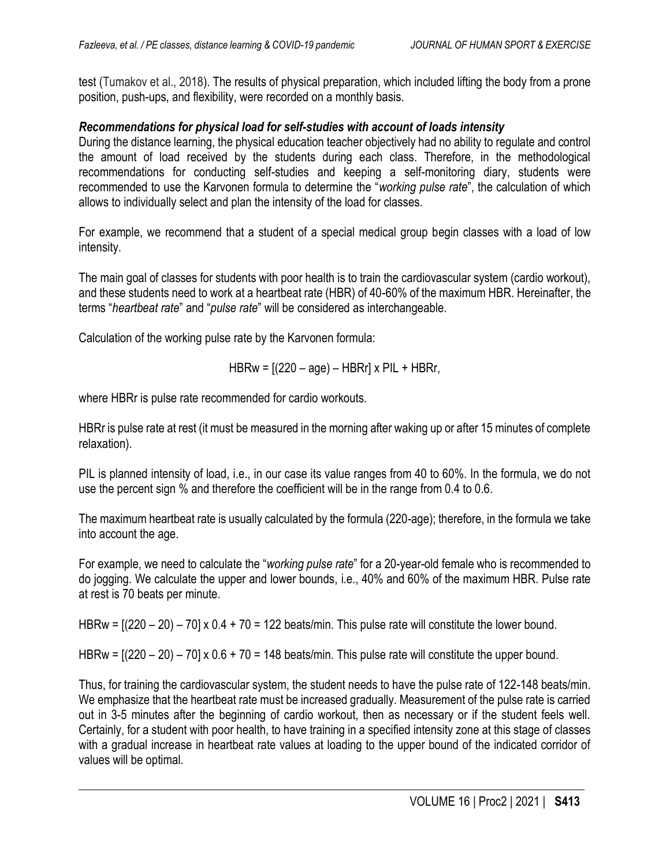test (Tumakov et al., 2018). The results of physical preparation, which included lifting the body from a prone position, push-ups, and flexibility, were recorded on a monthly basis.

#### *Recommendations for physical load for self-studies with account of loads intensity*

During the distance learning, the physical education teacher objectively had no ability to regulate and control the amount of load received by the students during each class. Therefore, in the methodological recommendations for conducting self-studies and keeping a self-monitoring diary, students were recommended to use the Karvonen formula to determine the "*working pulse rate*", the calculation of which allows to individually select and plan the intensity of the load for classes.

For example, we recommend that a student of a special medical group begin classes with a load of low intensity.

The main goal of classes for students with poor health is to train the cardiovascular system (cardio workout), and these students need to work at a heartbeat rate (HBR) of 40-60% of the maximum HBR. Hereinafter, the terms "*heartbeat rate*" and "*pulse rate*" will be considered as interchangeable.

Calculation of the working pulse rate by the Karvonen formula:

$$
HBRw = [(220 - age) - HBRr] \times PIL + HBRr,
$$

where HBRr is pulse rate recommended for cardio workouts.

HBRr is pulse rate at rest (it must be measured in the morning after waking up or after 15 minutes of complete relaxation).

PIL is planned intensity of load, i.e., in our case its value ranges from 40 to 60%. In the formula, we do not use the percent sign % and therefore the coefficient will be in the range from 0.4 to 0.6.

The maximum heartbeat rate is usually calculated by the formula (220-age); therefore, in the formula we take into account the age.

For example, we need to calculate the "*working pulse rate*" for a 20-year-old female who is recommended to do jogging. We calculate the upper and lower bounds, i.e., 40% and 60% of the maximum HBR. Pulse rate at rest is 70 beats per minute.

HBRw =  $[(220 - 20) - 70] \times 0.4 + 70 = 122$  beats/min. This pulse rate will constitute the lower bound.

HBRw =  $[(220 - 20) - 70] \times 0.6 + 70 = 148$  beats/min. This pulse rate will constitute the upper bound.

Thus, for training the cardiovascular system, the student needs to have the pulse rate of 122-148 beats/min. We emphasize that the heartbeat rate must be increased gradually. Measurement of the pulse rate is carried out in 3-5 minutes after the beginning of cardio workout, then as necessary or if the student feels well. Certainly, for a student with poor health, to have training in a specified intensity zone at this stage of classes with a gradual increase in heartbeat rate values at loading to the upper bound of the indicated corridor of values will be optimal.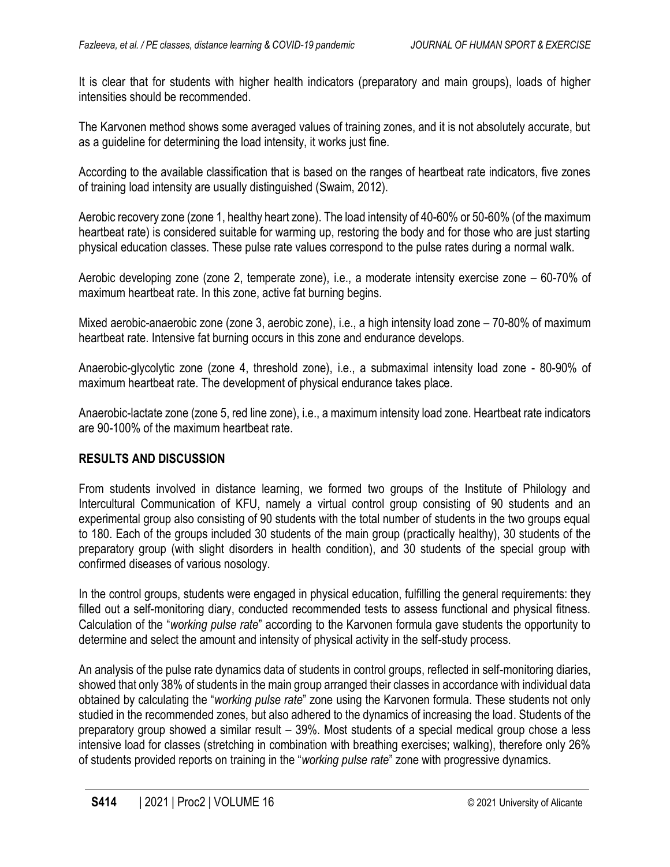It is clear that for students with higher health indicators (preparatory and main groups), loads of higher intensities should be recommended.

The Karvonen method shows some averaged values of training zones, and it is not absolutely accurate, but as a guideline for determining the load intensity, it works just fine.

According to the available classification that is based on the ranges of heartbeat rate indicators, five zones of training load intensity are usually distinguished (Swaim, 2012).

Aerobic recovery zone (zone 1, healthy heart zone). The load intensity of 40-60% or 50-60% (of the maximum heartbeat rate) is considered suitable for warming up, restoring the body and for those who are just starting physical education classes. These pulse rate values correspond to the pulse rates during a normal walk.

Aerobic developing zone (zone 2, temperate zone), i.e., a moderate intensity exercise zone – 60-70% of maximum heartbeat rate. In this zone, active fat burning begins.

Mixed aerobic-anaerobic zone (zone 3, aerobic zone), i.e., a high intensity load zone – 70-80% of maximum heartbeat rate. Intensive fat burning occurs in this zone and endurance develops.

Anaerobic-glycolytic zone (zone 4, threshold zone), i.e., a submaximal intensity load zone - 80-90% of maximum heartbeat rate. The development of physical endurance takes place.

Anaerobic-lactate zone (zone 5, red line zone), i.e., a maximum intensity load zone. Heartbeat rate indicators are 90-100% of the maximum heartbeat rate.

#### **RESULTS AND DISCUSSION**

From students involved in distance learning, we formed two groups of the Institute of Philology and Intercultural Communication of KFU, namely a virtual control group consisting of 90 students and an experimental group also consisting of 90 students with the total number of students in the two groups equal to 180. Each of the groups included 30 students of the main group (practically healthy), 30 students of the preparatory group (with slight disorders in health condition), and 30 students of the special group with confirmed diseases of various nosology.

In the control groups, students were engaged in physical education, fulfilling the general requirements: they filled out a self-monitoring diary, conducted recommended tests to assess functional and physical fitness. Calculation of the "*working pulse rate*" according to the Karvonen formula gave students the opportunity to determine and select the amount and intensity of physical activity in the self-study process.

An analysis of the pulse rate dynamics data of students in control groups, reflected in self-monitoring diaries, showed that only 38% of students in the main group arranged their classes in accordance with individual data obtained by calculating the "*working pulse rate*" zone using the Karvonen formula. These students not only studied in the recommended zones, but also adhered to the dynamics of increasing the load. Students of the preparatory group showed a similar result – 39%. Most students of a special medical group chose a less intensive load for classes (stretching in combination with breathing exercises; walking), therefore only 26% of students provided reports on training in the "*working pulse rate*" zone with progressive dynamics.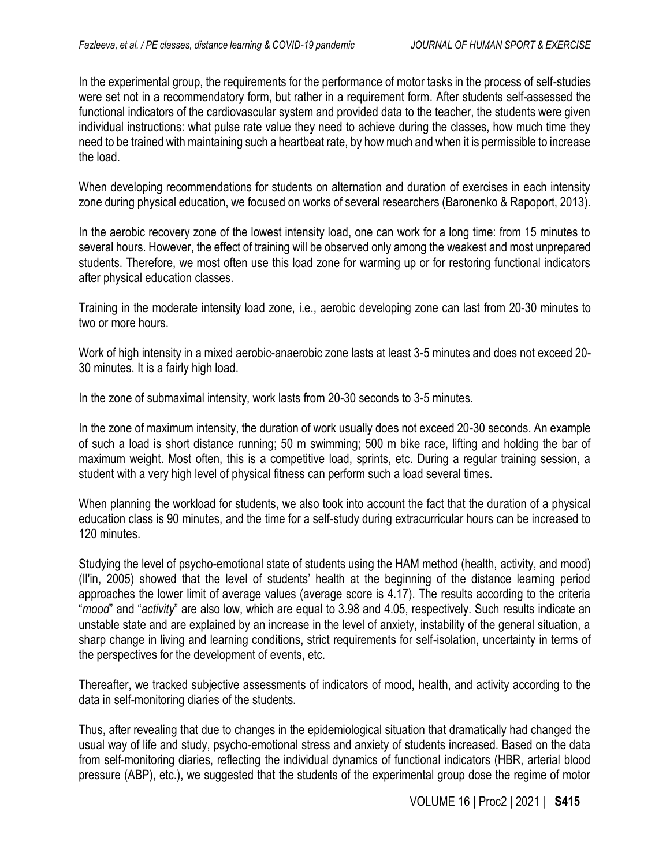In the experimental group, the requirements for the performance of motor tasks in the process of self-studies were set not in a recommendatory form, but rather in a requirement form. After students self-assessed the functional indicators of the cardiovascular system and provided data to the teacher, the students were given individual instructions: what pulse rate value they need to achieve during the classes, how much time they need to be trained with maintaining such a heartbeat rate, by how much and when it is permissible to increase the load.

When developing recommendations for students on alternation and duration of exercises in each intensity zone during physical education, we focused on works of several researchers (Baronenko & Rapoport, 2013).

In the aerobic recovery zone of the lowest intensity load, one can work for a long time: from 15 minutes to several hours. However, the effect of training will be observed only among the weakest and most unprepared students. Therefore, we most often use this load zone for warming up or for restoring functional indicators after physical education classes.

Training in the moderate intensity load zone, i.e., aerobic developing zone can last from 20-30 minutes to two or more hours.

Work of high intensity in a mixed aerobic-anaerobic zone lasts at least 3-5 minutes and does not exceed 20- 30 minutes. It is a fairly high load.

In the zone of submaximal intensity, work lasts from 20-30 seconds to 3-5 minutes.

In the zone of maximum intensity, the duration of work usually does not exceed 20-30 seconds. An example of such a load is short distance running; 50 m swimming; 500 m bike race, lifting and holding the bar of maximum weight. Most often, this is a competitive load, sprints, etc. During a regular training session, a student with a very high level of physical fitness can perform such a load several times.

When planning the workload for students, we also took into account the fact that the duration of a physical education class is 90 minutes, and the time for a self-study during extracurricular hours can be increased to 120 minutes.

Studying the level of psycho-emotional state of students using the HAM method (health, activity, and mood) (Il'in, 2005) showed that the level of students' health at the beginning of the distance learning period approaches the lower limit of average values (average score is 4.17). The results according to the criteria "*mood*" and "*activity*" are also low, which are equal to 3.98 and 4.05, respectively. Such results indicate an unstable state and are explained by an increase in the level of anxiety, instability of the general situation, a sharp change in living and learning conditions, strict requirements for self-isolation, uncertainty in terms of the perspectives for the development of events, etc.

Thereafter, we tracked subjective assessments of indicators of mood, health, and activity according to the data in self-monitoring diaries of the students.

Thus, after revealing that due to changes in the epidemiological situation that dramatically had changed the usual way of life and study, psycho-emotional stress and anxiety of students increased. Based on the data from self-monitoring diaries, reflecting the individual dynamics of functional indicators (HBR, arterial blood pressure (ABP), etc.), we suggested that the students of the experimental group dose the regime of motor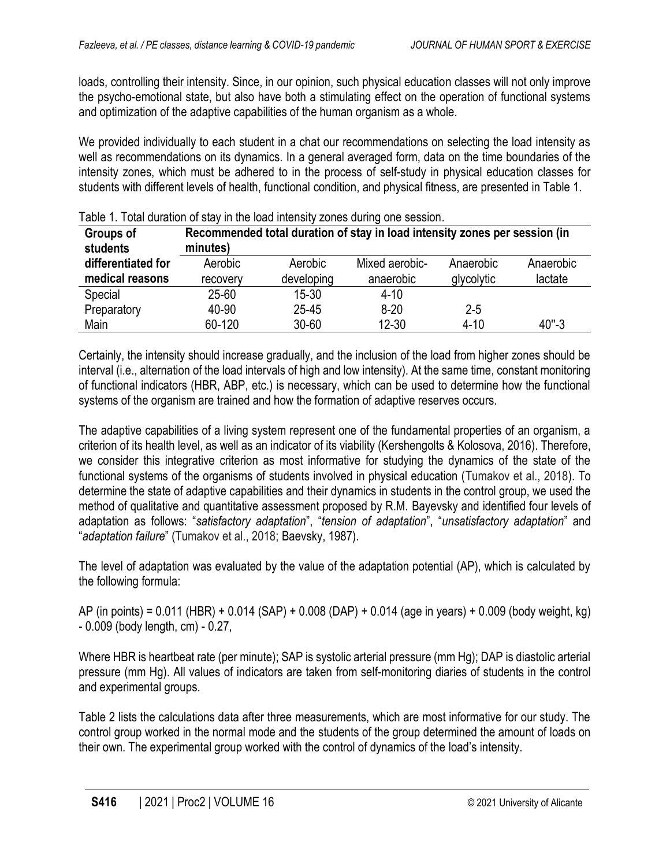loads, controlling their intensity. Since, in our opinion, such physical education classes will not only improve the psycho-emotional state, but also have both a stimulating effect on the operation of functional systems and optimization of the adaptive capabilities of the human organism as a whole.

We provided individually to each student in a chat our recommendations on selecting the load intensity as well as recommendations on its dynamics. In a general averaged form, data on the time boundaries of the intensity zones, which must be adhered to in the process of self-study in physical education classes for students with different levels of health, functional condition, and physical fitness, are presented in Table 1.

| Groups of<br>students | Recommended total duration of stay in load intensity zones per session (in<br>minutes) |            |                |            |           |  |  |  |  |
|-----------------------|----------------------------------------------------------------------------------------|------------|----------------|------------|-----------|--|--|--|--|
| differentiated for    | Aerobic                                                                                | Aerobic    | Mixed aerobic- | Anaerobic  | Anaerobic |  |  |  |  |
| medical reasons       | recovery                                                                               | developing | anaerobic      | glycolytic | lactate   |  |  |  |  |
| Special               | 25-60                                                                                  | $15 - 30$  | $4 - 10$       |            |           |  |  |  |  |
| Preparatory           | 40-90                                                                                  | 25-45      | $8 - 20$       | $2 - 5$    |           |  |  |  |  |
| Main                  | 60-120                                                                                 | $30 - 60$  | $12 - 30$      | $4 - 10$   | $40 - 3$  |  |  |  |  |

|  |  |  |  | Table 1. Total duration of stay in the load intensity zones during one session. |
|--|--|--|--|---------------------------------------------------------------------------------|
|  |  |  |  |                                                                                 |
|  |  |  |  |                                                                                 |

Certainly, the intensity should increase gradually, and the inclusion of the load from higher zones should be interval (i.e., alternation of the load intervals of high and low intensity). At the same time, constant monitoring of functional indicators (HBR, ABP, etc.) is necessary, which can be used to determine how the functional systems of the organism are trained and how the formation of adaptive reserves occurs.

The adaptive capabilities of a living system represent one of the fundamental properties of an organism, a criterion of its health level, as well as an indicator of its viability (Kershengolts & Kolosova, 2016). Therefore, we consider this integrative criterion as most informative for studying the dynamics of the state of the functional systems of the organisms of students involved in physical education (Tumakov et al., 2018). To determine the state of adaptive capabilities and their dynamics in students in the control group, we used the method of qualitative and quantitative assessment proposed by R.M. Bayevsky and identified four levels of adaptation as follows: "*satisfactory adaptation*", "*tension of adaptation*", "*unsatisfactory adaptation*" and "*adaptation failure*" (Tumakov et al., 2018; Baevsky, 1987).

The level of adaptation was evaluated by the value of the adaptation potential (AP), which is calculated by the following formula:

AP (in points) = 0.011 (HBR) + 0.014 (SAP) + 0.008 (DAP) + 0.014 (age in years) + 0.009 (body weight, kg) - 0.009 (body length, cm) - 0.27,

Where HBR is heartbeat rate (per minute); SAP is systolic arterial pressure (mm Hg); DAP is diastolic arterial pressure (mm Hg). All values of indicators are taken from self-monitoring diaries of students in the control and experimental groups.

Table 2 lists the calculations data after three measurements, which are most informative for our study. The control group worked in the normal mode and the students of the group determined the amount of loads on their own. The experimental group worked with the control of dynamics of the load's intensity.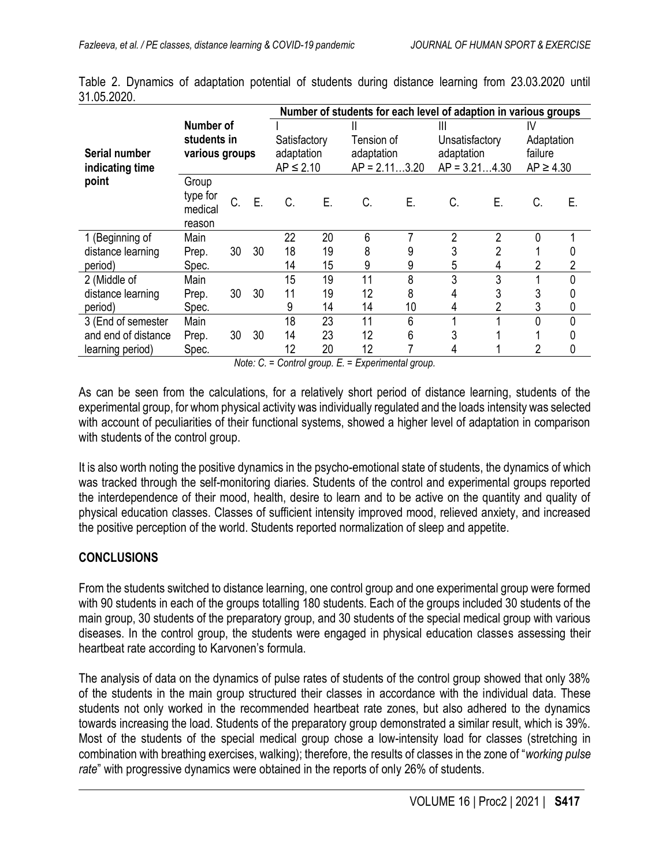|                     |                               |    |    | Number of students for each level of adaption in various groups |    |                               |    |                                   |                |                             |    |
|---------------------|-------------------------------|----|----|-----------------------------------------------------------------|----|-------------------------------|----|-----------------------------------|----------------|-----------------------------|----|
|                     | Number of                     |    |    | Satisfactory<br>adaptation<br>$AP \leq 2.10$                    |    | Ш<br>Tension of<br>adaptation |    | Ш<br>Unsatisfactory<br>adaptation |                | IV<br>Adaptation<br>failure |    |
|                     | students in<br>various groups |    |    |                                                                 |    |                               |    |                                   |                |                             |    |
| Serial number       |                               |    |    |                                                                 |    |                               |    |                                   |                |                             |    |
| indicating time     |                               |    |    |                                                                 |    | $AP = 2.113.20$               |    | $AP = 3.214.30$                   |                | $AP \geq 4.30$              |    |
| point               | Group                         |    |    |                                                                 |    |                               |    |                                   |                |                             |    |
|                     | type for                      | C. | E. | C.                                                              | Ε. | C.                            | Ε. | C.                                | Е.             | C.                          | Е. |
|                     | medical                       |    |    |                                                                 |    |                               |    |                                   |                |                             |    |
|                     | reason                        |    |    |                                                                 |    |                               |    |                                   |                |                             |    |
| 1 (Beginning of     | Main                          |    |    | 22                                                              | 20 | 6                             | 7  | 2                                 | 2              |                             |    |
| distance learning   | Prep.                         | 30 | 30 | 18                                                              | 19 | 8                             | 9  | 3                                 | $\overline{2}$ |                             | 0  |
| period)             | Spec.                         |    |    | 14                                                              | 15 | 9                             | 9  | 5                                 | 4              | 2                           | 2  |
| 2 (Middle of        | Main                          |    |    | 15                                                              | 19 | 11                            | 8  | 3                                 | 3              |                             | 0  |
| distance learning   | Prep.                         | 30 | 30 | 11                                                              | 19 | 12                            | 8  | 4                                 | 3              | 3                           | 0  |
| period)             | Spec.                         |    |    | 9                                                               | 14 | 14                            | 10 | 4                                 | 2              | 3                           | 0  |
| 3 (End of semester  | Main                          |    |    | 18                                                              | 23 | 11                            | 6  |                                   |                |                             | 0  |
| and end of distance | Prep.                         | 30 | 30 | 14                                                              | 23 | 12                            | 6  |                                   |                |                             |    |
| learning period)    | Spec.                         |    |    | 12                                                              | 20 | 12                            |    |                                   |                |                             | 0  |

Table 2. Dynamics of adaptation potential of students during distance learning from 23.03.2020 until 31.05.2020.

*Note: C. = Control group. E. = Experimental group.*

As can be seen from the calculations, for a relatively short period of distance learning, students of the experimental group, for whom physical activity was individually regulated and the loads intensity was selected with account of peculiarities of their functional systems, showed a higher level of adaptation in comparison with students of the control group.

It is also worth noting the positive dynamics in the psycho-emotional state of students, the dynamics of which was tracked through the self-monitoring diaries. Students of the control and experimental groups reported the interdependence of their mood, health, desire to learn and to be active on the quantity and quality of physical education classes. Classes of sufficient intensity improved mood, relieved anxiety, and increased the positive perception of the world. Students reported normalization of sleep and appetite.

#### **CONCLUSIONS**

From the students switched to distance learning, one control group and one experimental group were formed with 90 students in each of the groups totalling 180 students. Each of the groups included 30 students of the main group, 30 students of the preparatory group, and 30 students of the special medical group with various diseases. In the control group, the students were engaged in physical education classes assessing their heartbeat rate according to Karvonen's formula.

The analysis of data on the dynamics of pulse rates of students of the control group showed that only 38% of the students in the main group structured their classes in accordance with the individual data. These students not only worked in the recommended heartbeat rate zones, but also adhered to the dynamics towards increasing the load. Students of the preparatory group demonstrated a similar result, which is 39%. Most of the students of the special medical group chose a low-intensity load for classes (stretching in combination with breathing exercises, walking); therefore, the results of classes in the zone of "*working pulse rate*" with progressive dynamics were obtained in the reports of only 26% of students.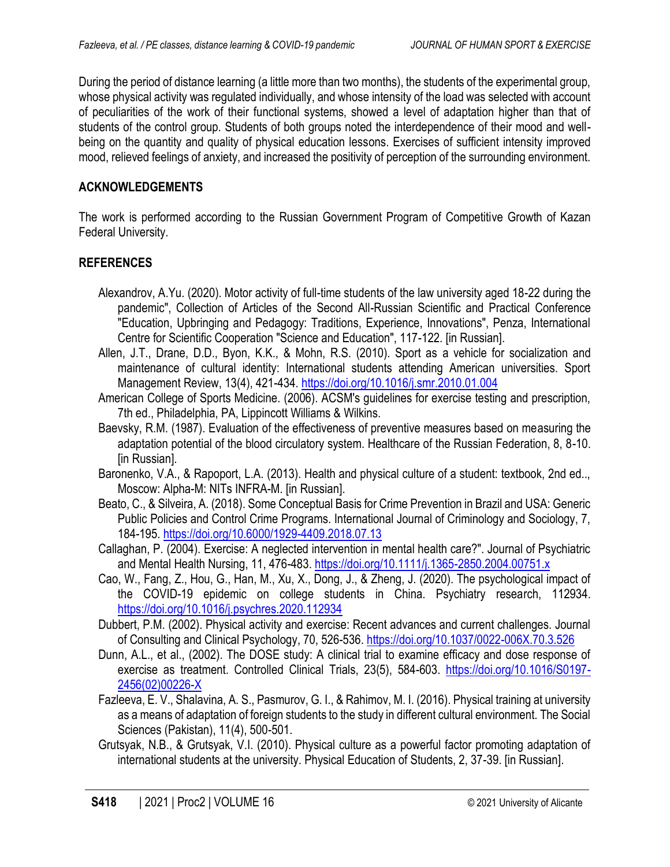During the period of distance learning (a little more than two months), the students of the experimental group, whose physical activity was regulated individually, and whose intensity of the load was selected with account of peculiarities of the work of their functional systems, showed a level of adaptation higher than that of students of the control group. Students of both groups noted the interdependence of their mood and wellbeing on the quantity and quality of physical education lessons. Exercises of sufficient intensity improved mood, relieved feelings of anxiety, and increased the positivity of perception of the surrounding environment.

### **ACKNOWLEDGEMENTS**

The work is performed according to the Russian Government Program of Competitive Growth of Kazan Federal University.

#### **REFERENCES**

- Alexandrov, A.Yu. (2020). Motor activity of full-time students of the law university aged 18-22 during the pandemic", Collection of Articles of the Second All-Russian Scientific and Practical Conference "Education, Upbringing and Pedagogy: Traditions, Experience, Innovations", Penza, International Centre for Scientific Cooperation "Science and Education", 117-122. [in Russian].
- Allen, J.T., Drane, D.D., Byon, K.K., & Mohn, R.S. (2010). Sport as a vehicle for socialization and maintenance of cultural identity: International students attending American universities. Sport Management Review, 13(4), 421-434. <https://doi.org/10.1016/j.smr.2010.01.004>
- American College of Sports Medicine. (2006). ACSM's guidelines for exercise testing and prescription, 7th ed., Philadelphia, PA, Lippincott Williams & Wilkins.
- Baevsky, R.M. (1987). Evaluation of the effectiveness of preventive measures based on measuring the adaptation potential of the blood circulatory system. Healthcare of the Russian Federation, 8, 8-10. [in Russian].
- Baronenko, V.A., & Rapoport, L.A. (2013). Health and physical culture of a student: textbook, 2nd ed.., Moscow: Alpha-M: NITs INFRA-M. [in Russian].
- Beato, C., & Silveira, A. (2018). Some Conceptual Basis for Crime Prevention in Brazil and USA: Generic Public Policies and Control Crime Programs. International Journal of Criminology and Sociology, 7, 184-195. <https://doi.org/10.6000/1929-4409.2018.07.13>
- Callaghan, P. (2004). Exercise: A neglected intervention in mental health care?". Journal of Psychiatric and Mental Health Nursing, 11, 476-483. <https://doi.org/10.1111/j.1365-2850.2004.00751.x>
- Cao, W., Fang, Z., Hou, G., Han, M., Xu, X., Dong, J., & Zheng, J. (2020). The psychological impact of the COVID-19 epidemic on college students in China. Psychiatry research, 112934. <https://doi.org/10.1016/j.psychres.2020.112934>
- Dubbert, P.M. (2002). Physical activity and exercise: Recent advances and current challenges. Journal of Consulting and Clinical Psychology, 70, 526-536. <https://doi.org/10.1037/0022-006X.70.3.526>
- Dunn, A.L., et al., (2002). The DOSE study: A clinical trial to examine efficacy and dose response of exercise as treatment. Controlled Clinical Trials, 23(5), 584-603. [https://doi.org/10.1016/S0197-](https://doi.org/10.1016/S0197-2456(02)00226-X) [2456\(02\)00226-X](https://doi.org/10.1016/S0197-2456(02)00226-X)
- Fazleeva, E. V., Shalavina, A. S., Pasmurov, G. I., & Rahimov, M. I. (2016). Physical training at university as a means of adaptation of foreign students to the study in different cultural environment. The Social Sciences (Pakistan), 11(4), 500-501.
- Grutsyak, N.B., & Grutsyak, V.I. (2010). Physical culture as a powerful factor promoting adaptation of international students at the university. Physical Education of Students, 2, 37-39. [in Russian].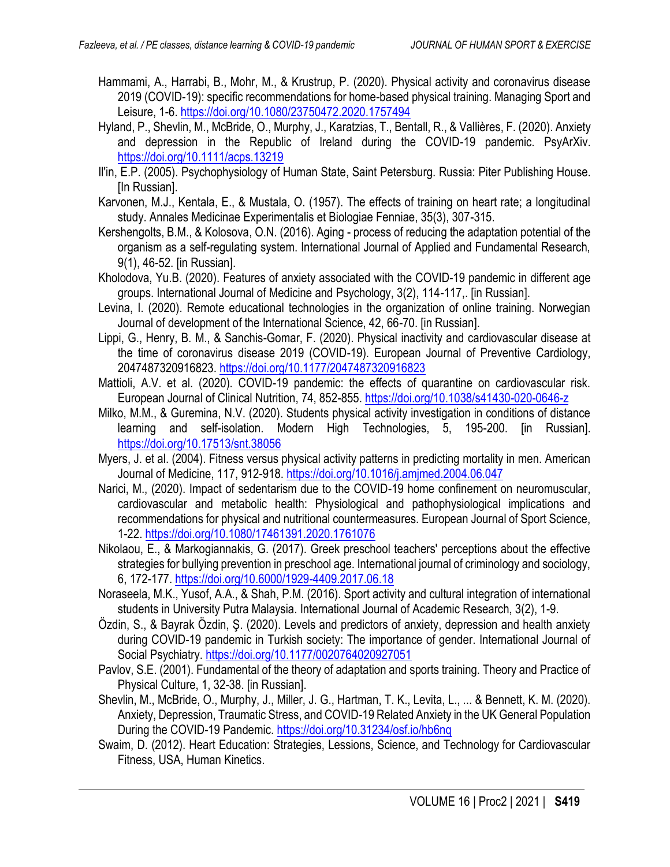- Hammami, A., Harrabi, B., Mohr, M., & Krustrup, P. (2020). Physical activity and coronavirus disease 2019 (COVID-19): specific recommendations for home-based physical training. Managing Sport and Leisure, 1-6. <https://doi.org/10.1080/23750472.2020.1757494>
- Hyland, P., Shevlin, M., McBride, O., Murphy, J., Karatzias, T., Bentall, R., & Vallières, F. (2020). Anxiety and depression in the Republic of Ireland during the COVID-19 pandemic. PsyArXiv. <https://doi.org/10.1111/acps.13219>
- Il'in, E.P. (2005). Psychophysiology of Human State, Saint Petersburg. Russia: Piter Publishing House. [In Russian].
- Karvonen, M.J., Kentala, E., & Mustala, O. (1957). The effects of training on heart rate; a longitudinal study. Annales Medicinae Experimentalis et Biologiae Fenniae, 35(3), 307-315.
- Kershengolts, B.M., & Kolosova, O.N. (2016). Aging process of reducing the adaptation potential of the organism as a self-regulating system. International Journal of Applied and Fundamental Research, 9(1), 46-52. [in Russian].
- Kholodova, Yu.B. (2020). Features of anxiety associated with the COVID-19 pandemic in different age groups. International Journal of Medicine and Psychology, 3(2), 114-117,. [in Russian].
- Levina, I. (2020). Remote educational technologies in the organization of online training. Norwegian Journal of development of the International Science, 42, 66-70. [in Russian].
- Lippi, G., Henry, B. M., & Sanchis-Gomar, F. (2020). Physical inactivity and cardiovascular disease at the time of coronavirus disease 2019 (COVID-19). European Journal of Preventive Cardiology, 2047487320916823. <https://doi.org/10.1177/2047487320916823>
- Mattioli, A.V. et al. (2020). COVID-19 pandemic: the effects of quarantine on cardiovascular risk. European Journal of Clinical Nutrition, 74, 852-855. <https://doi.org/10.1038/s41430-020-0646-z>
- Milko, M.M., & Guremina, N.V. (2020). Students physical activity investigation in conditions of distance learning and self-isolation. Modern High Technologies, 5, 195-200. [in Russian]. <https://doi.org/10.17513/snt.38056>
- Myers, J. et al. (2004). Fitness versus physical activity patterns in predicting mortality in men. American Journal of Medicine, 117, 912-918. <https://doi.org/10.1016/j.amjmed.2004.06.047>
- Narici, M., (2020). Impact of sedentarism due to the COVID-19 home confinement on neuromuscular, cardiovascular and metabolic health: Physiological and pathophysiological implications and recommendations for physical and nutritional countermeasures. European Journal of Sport Science, 1-22. <https://doi.org/10.1080/17461391.2020.1761076>
- Nikolaou, E., & Markogiannakis, G. (2017). Greek preschool teachers' perceptions about the effective strategies for bullying prevention in preschool age. International journal of criminology and sociology, 6, 172-177. <https://doi.org/10.6000/1929-4409.2017.06.18>
- Noraseela, M.K., Yusof, A.A., & Shah, P.M. (2016). Sport activity and cultural integration of international students in University Putra Malaysia. International Journal of Academic Research, 3(2), 1-9.
- Özdin, S., & Bayrak Özdin, Ş. (2020). Levels and predictors of anxiety, depression and health anxiety during COVID-19 pandemic in Turkish society: The importance of gender. International Journal of Social Psychiatry.<https://doi.org/10.1177/0020764020927051>
- Pavlov, S.E. (2001). Fundamental of the theory of adaptation and sports training. Theory and Practice of Physical Culture, 1, 32-38. [in Russian].
- Shevlin, M., McBride, O., Murphy, J., Miller, J. G., Hartman, T. K., Levita, L., ... & Bennett, K. M. (2020). Anxiety, Depression, Traumatic Stress, and COVID-19 Related Anxiety in the UK General Population During the COVID-19 Pandemic. <https://doi.org/10.31234/osf.io/hb6nq>
- Swaim, D. (2012). Heart Education: Strategies, Lessions, Science, and Technology for Cardiovascular Fitness, USA, Human Kinetics.